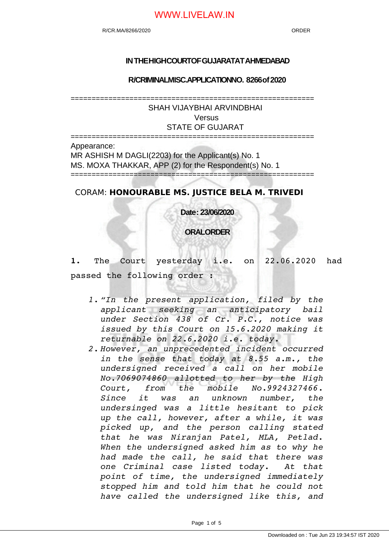#### **IN THE HIGH COURTOF GUJARATAT AHMEDABAD**

**R/CRIMINAL MISC.APPLICATION NO. 8266 of 2020**

==========================================================

SHAH VIJAYBHAI ARVINDBHAI Versus STATE OF GUJARAT

========================================================== Appearance: MR ASHISH M DAGLI(2203) for the Applicant(s) No. 1 MS. MOXA THAKKAR, APP (2) for the Respondent(s) No. 1 ==========================================================

CORAM: **HONOURABLE MS. JUSTICE BELA M. TRIVEDI**

**Date : 23/06/2020**

**ORAL ORDER**

**1.** The Court yesterday i.e. on 22.06.2020 had passed the following order :

- *1. "In the present application, filed by the applicant seeking an anticipatory bail under Section 438 of Cr. P.C., notice was issued by this Court on 15.6.2020 making it returnable on 22.6.2020 i.e. today.*
- *2. However, an unprecedented incident occurred in the sense that today at 8.55 a.m., the undersigned received a call on her mobile No.7069074860 allotted to her by the High Court, from the mobile No.9924327466. Since it was an unknown number, the undersinged was a little hesitant to pick up the call, however, after a while, it was picked up, and the person calling stated that he was Niranjan Patel, MLA, Petlad. When the undersigned asked him as to why he had made the call, he said that there was one Criminal case listed today. At that point of time, the undersigned immediately stopped him and told him that he could not have called the undersigned like this, and*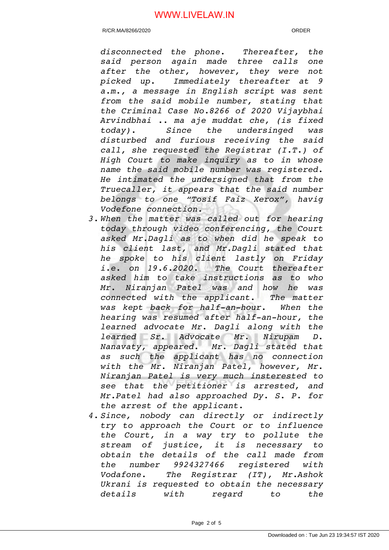R/CR.MA/8266/2020 ORDER

*disconnected the phone. Thereafter, the said person again made three calls one after the other, however, they were not picked up. Immediately thereafter at 9 a.m., a message in English script was sent from the said mobile number, stating that the Criminal Case No.8266 of 2020 Vijaybhai Arvindbhai .. ma aje muddat che, (is fixed today). Since the undersinged was disturbed and furious receiving the said call, she requested the Registrar (I.T.) of High Court to make inquiry as to in whose name the said mobile number was registered. He intimated the undersigned that from the Truecaller, it appears that the said number belongs to one "Tosif Faiz Xerox", havig Vodefone connection.* 

- *3. When the matter was called out for hearing today through video conferencing, the Court asked Mr.Dagli as to when did he speak to his client last, and Mr.Dagli stated that he spoke to his client lastly on Friday i.e. on 19.6.2020. The Court thereafter asked him to take instructions as to who Mr. Niranjan Patel was and how he was connected with the applicant. The matter* was kept back for half-an-hour. When the *hearing was resumed after half-an-hour, the learned advocate Mr. Dagli along with the learned Sr. Advocate Mr. Nirupam D. Nanavaty, appeared. Mr. Dagli stated that as such the applicant has no connection with the Mr. Niranjan Patel, however, Mr. Niranjan Patel is very much insterested to see that the petitioner is arrested, and Mr.Patel had also approached Dy. S. P. for the arrest of the applicant.*
- *4. Since, nobody can directly or indirectly try to approach the Court or to influence the Court, in a way try to pollute the stream of justice, it is necessary to obtain the details of the call made from the number 9924327466 registered with Vodafone. The Registrar (IT), Mr.Ashok Ukrani is requested to obtain the necessary details with regard to the*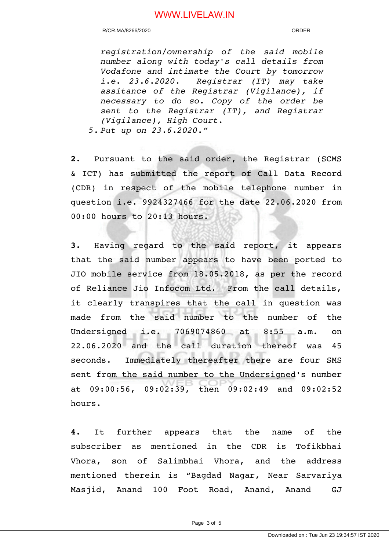R/CR.MA/8266/2020 ORDER

*registration/ownership of the said mobile number along with today's call details from Vodafone and intimate the Court by tomorrow i.e. 23.6.2020. Registrar (IT) may take assitance of the Registrar (Vigilance), if necessary to do so. Copy of the order be sent to the Registrar (IT), and Registrar (Vigilance), High Court.*

*5. Put up on 23.6.2020."*

**2.** Pursuant to the said order, the Registrar (SCMS & ICT) has submitted the report of Call Data Record (CDR) in respect of the mobile telephone number in question i.e. 9924327466 for the date 22.06.2020 from 00:00 hours to 20:13 hours.

**3.** Having regard to the said report, it appears that the said number appears to have been ported to JIO mobile service from 18.05.2018, as per the record of Reliance Jio Infocom Ltd. From the call details, it clearly transpires that the call in question was made from the said number to the number of the Undersigned i.e. 7069074860 at 8:55 a.m. on 22.06.2020 and the call duration thereof was 45 seconds. Immediately thereafter there are four SMS sent from the said number to the Undersigned's number at 09:00:56, 09:02:39, then 09:02:49 and 09:02:52 hours.

**4.** It further appears that the name of the subscriber as mentioned in the CDR is Tofikbhai Vhora, son of Salimbhai Vhora, and the address mentioned therein is "Bagdad Nagar, Near Sarvariya Masjid, Anand 100 Foot Road, Anand, Anand GJ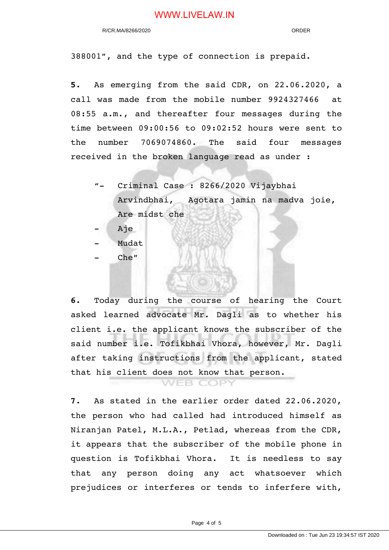388001", and the type of connection is prepaid.

**5.** As emerging from the said CDR, on 22.06.2020, a call was made from the mobile number 9924327466 at 08:55 a.m., and thereafter four messages during the time between 09:00:56 to 09:02:52 hours were sent to the number 7069074860. The said four messages received in the broken language read as under :

- "- Criminal Case : 8266/2020 Vijaybhai Arvindbhai, Agotara jamin na madva joie, Are midst che
- Aje
- Mudat
- Che"

**6.** Today during the course of hearing the Court asked learned advocate Mr. Dagli as to whether his client i.e. the applicant knows the subscriber of the said number i.e. Tofikbhai Vhora, however, Mr. Dagli after taking instructions from the applicant, stated that his client does not know that person.

**VEB COPY** 

**7.** As stated in the earlier order dated 22.06.2020, the person who had called had introduced himself as Niranjan Patel, M.L.A., Petlad, whereas from the CDR, it appears that the subscriber of the mobile phone in question is Tofikbhai Vhora. It is needless to say that any person doing any act whatsoever which prejudices or interferes or tends to inferfere with,